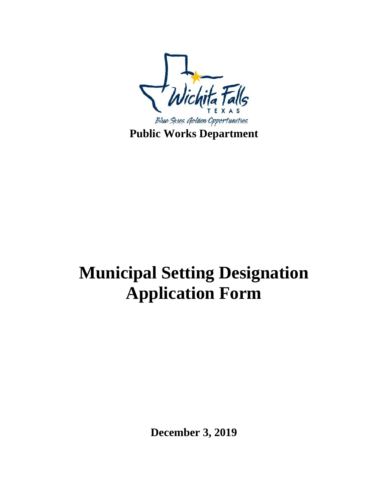

## **Municipal Setting Designation Application Form**

**December 3, 2019**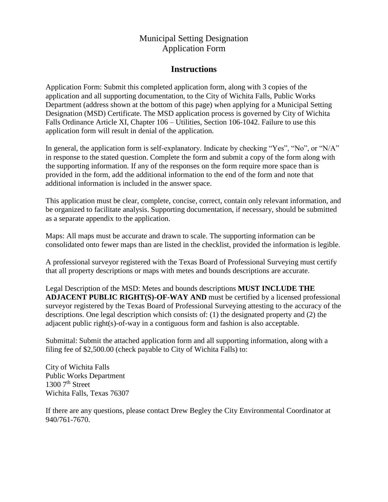## Municipal Setting Designation Application Form

## **Instructions**

Application Form: Submit this completed application form, along with 3 copies of the application and all supporting documentation, to the City of Wichita Falls, Public Works Department (address shown at the bottom of this page) when applying for a Municipal Setting Designation (MSD) Certificate. The MSD application process is governed by City of Wichita Falls Ordinance Article XI, Chapter 106 – Utilities, Section 106-1042. Failure to use this application form will result in denial of the application.

In general, the application form is self-explanatory. Indicate by checking "Yes", "No", or "N/A" in response to the stated question. Complete the form and submit a copy of the form along with the supporting information. If any of the responses on the form require more space than is provided in the form, add the additional information to the end of the form and note that additional information is included in the answer space.

This application must be clear, complete, concise, correct, contain only relevant information, and be organized to facilitate analysis. Supporting documentation, if necessary, should be submitted as a separate appendix to the application.

Maps: All maps must be accurate and drawn to scale. The supporting information can be consolidated onto fewer maps than are listed in the checklist, provided the information is legible.

A professional surveyor registered with the Texas Board of Professional Surveying must certify that all property descriptions or maps with metes and bounds descriptions are accurate.

Legal Description of the MSD: Metes and bounds descriptions **MUST INCLUDE THE ADJACENT PUBLIC RIGHT(S)-OF-WAY AND** must be certified by a licensed professional surveyor registered by the Texas Board of Professional Surveying attesting to the accuracy of the descriptions. One legal description which consists of: (1) the designated property and (2) the adjacent public right(s)-of-way in a contiguous form and fashion is also acceptable.

Submittal: Submit the attached application form and all supporting information, along with a filing fee of \$2,500.00 (check payable to City of Wichita Falls) to:

City of Wichita Falls Public Works Department  $1300$  7<sup>th</sup> Street Wichita Falls, Texas 76307

If there are any questions, please contact Drew Begley the City Environmental Coordinator at 940/761-7670.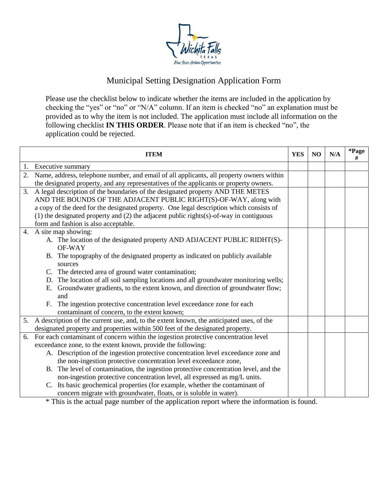

## Municipal Setting Designation Application Form

Please use the checklist below to indicate whether the items are included in the application by checking the "yes" or "no" or "N/A" column. If an item is checked "no" an explanation must be provided as to why the item is not included. The application must include all information on the following checklist **IN THIS ORDER**. Please note that if an item is checked "no", the application could be rejected.

|    | <b>ITEM</b>                                                                                    | <b>YES</b> | N <sub>O</sub> | N/A | $\boldsymbol{*}\mathbf{Page}$<br># |
|----|------------------------------------------------------------------------------------------------|------------|----------------|-----|------------------------------------|
|    | 1. Executive summary                                                                           |            |                |     |                                    |
| 2. | Name, address, telephone number, and email of all applicants, all property owners within       |            |                |     |                                    |
|    | the designated property, and any representatives of the applicants or property owners.         |            |                |     |                                    |
| 3. | A legal description of the boundaries of the designated property AND THE METES                 |            |                |     |                                    |
|    | AND THE BOUNDS OF THE ADJACENT PUBLIC RIGHT(S)-OF-WAY, along with                              |            |                |     |                                    |
|    | a copy of the deed for the designated property. One legal description which consists of        |            |                |     |                                    |
|    | $(1)$ the designated property and $(2)$ the adjacent public rights $(s)$ -of-way in contiguous |            |                |     |                                    |
|    | form and fashion is also acceptable.                                                           |            |                |     |                                    |
|    | 4. A site map showing:                                                                         |            |                |     |                                    |
|    | A. The location of the designated property AND ADJACENT PUBLIC RIDHT(S)-                       |            |                |     |                                    |
|    | OF-WAY                                                                                         |            |                |     |                                    |
|    | B. The topography of the designated property as indicated on publicly available                |            |                |     |                                    |
|    | sources                                                                                        |            |                |     |                                    |
|    | C. The detected area of ground water contamination;                                            |            |                |     |                                    |
|    | D. The location of all soil sampling locations and all groundwater monitoring wells;           |            |                |     |                                    |
|    | E. Groundwater gradients, to the extent known, and direction of groundwater flow;              |            |                |     |                                    |
|    | and                                                                                            |            |                |     |                                    |
|    | The ingestion protective concentration level exceedance zone for each<br>F <sub>r</sub>        |            |                |     |                                    |
|    | contaminant of concern, to the extent known;                                                   |            |                |     |                                    |
|    | 5. A description of the current use, and, to the extent known, the anticipated uses, of the    |            |                |     |                                    |
|    | designated property and properties within 500 feet of the designated property.                 |            |                |     |                                    |
|    | 6. For each contaminant of concern within the ingestion protective concentration level         |            |                |     |                                    |
|    | exceedance zone, to the extent known, provide the following:                                   |            |                |     |                                    |
|    | A. Description of the ingestion protective concentration level exceedance zone and             |            |                |     |                                    |
|    | the non-ingestion protective concentration level exceedance zone,                              |            |                |     |                                    |
|    | B. The level of contamination, the ingestion protective concentration level, and the           |            |                |     |                                    |
|    | non-ingestion protective concentration level, all expressed as mg/L units.                     |            |                |     |                                    |
|    | Its basic geochemical properties (for example, whether the contaminant of<br>C.                |            |                |     |                                    |
|    | concern migrate with groundwater, floats, or is soluble in water).                             |            |                |     |                                    |

\* This is the actual page number of the application report where the information is found.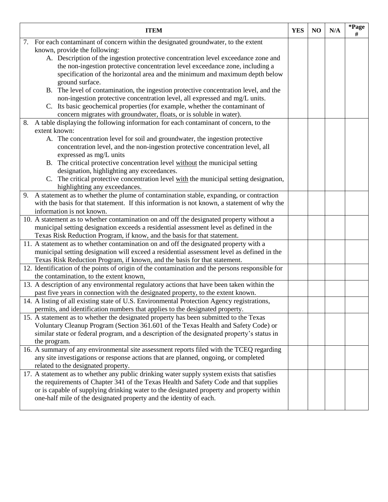|    | <b>ITEM</b>                                                                                                                                                       | <b>YES</b> | N <sub>O</sub> | N/A | *Page<br># |
|----|-------------------------------------------------------------------------------------------------------------------------------------------------------------------|------------|----------------|-----|------------|
| 7. | For each contaminant of concern within the designated groundwater, to the extent                                                                                  |            |                |     |            |
|    | known, provide the following:                                                                                                                                     |            |                |     |            |
|    | A. Description of the ingestion protective concentration level exceedance zone and                                                                                |            |                |     |            |
|    | the non-ingestion protective concentration level exceedance zone, including a                                                                                     |            |                |     |            |
|    | specification of the horizontal area and the minimum and maximum depth below                                                                                      |            |                |     |            |
|    | ground surface.                                                                                                                                                   |            |                |     |            |
|    | B. The level of contamination, the ingestion protective concentration level, and the                                                                              |            |                |     |            |
|    | non-ingestion protective concentration level, all expressed and mg/L units.                                                                                       |            |                |     |            |
|    | C. Its basic geochemical properties (for example, whether the contaminant of                                                                                      |            |                |     |            |
|    | concern migrates with groundwater, floats, or is soluble in water).                                                                                               |            |                |     |            |
| 8. | A table displaying the following information for each contaminant of concern, to the                                                                              |            |                |     |            |
|    | extent known:                                                                                                                                                     |            |                |     |            |
|    | A. The concentration level for soil and groundwater, the ingestion protective                                                                                     |            |                |     |            |
|    | concentration level, and the non-ingestion protective concentration level, all                                                                                    |            |                |     |            |
|    | expressed as mg/L units                                                                                                                                           |            |                |     |            |
|    | B. The critical protective concentration level without the municipal setting                                                                                      |            |                |     |            |
|    | designation, highlighting any exceedances.                                                                                                                        |            |                |     |            |
|    | C. The critical protective concentration level with the municipal setting designation,                                                                            |            |                |     |            |
|    | highlighting any exceedances.                                                                                                                                     |            |                |     |            |
| 9. | A statement as to whether the plume of contamination stable, expanding, or contraction                                                                            |            |                |     |            |
|    | with the basis for that statement. If this information is not known, a statement of why the                                                                       |            |                |     |            |
|    | information is not known.                                                                                                                                         |            |                |     |            |
|    | 10. A statement as to whether contamination on and off the designated property without a                                                                          |            |                |     |            |
|    | municipal setting designation exceeds a residential assessment level as defined in the                                                                            |            |                |     |            |
|    | Texas Risk Reduction Program, if know, and the basis for that statement.<br>11. A statement as to whether contamination on and off the designated property with a |            |                |     |            |
|    | municipal setting designation will exceed a residential assessment level as defined in the                                                                        |            |                |     |            |
|    | Texas Risk Reduction Program, if known, and the basis for that statement.                                                                                         |            |                |     |            |
|    | 12. Identification of the points of origin of the contamination and the persons responsible for                                                                   |            |                |     |            |
|    | the contamination, to the extent known,                                                                                                                           |            |                |     |            |
|    | 13. A description of any environmental regulatory actions that have been taken within the                                                                         |            |                |     |            |
|    | past five years in connection with the designated property, to the extent known.                                                                                  |            |                |     |            |
|    | 14. A listing of all existing state of U.S. Environmental Protection Agency registrations,                                                                        |            |                |     |            |
|    | permits, and identification numbers that applies to the designated property.                                                                                      |            |                |     |            |
|    | 15. A statement as to whether the designated property has been submitted to the Texas                                                                             |            |                |     |            |
|    | Voluntary Cleanup Program (Section 361.601 of the Texas Health and Safety Code) or                                                                                |            |                |     |            |
|    | similar state or federal program, and a description of the designated property's status in                                                                        |            |                |     |            |
|    | the program.                                                                                                                                                      |            |                |     |            |
|    | 16. A summary of any environmental site assessment reports filed with the TCEQ regarding                                                                          |            |                |     |            |
|    | any site investigations or response actions that are planned, ongoing, or completed                                                                               |            |                |     |            |
|    | related to the designated property.                                                                                                                               |            |                |     |            |
|    | 17. A statement as to whether any public drinking water supply system exists that satisfies                                                                       |            |                |     |            |
|    | the requirements of Chapter 341 of the Texas Health and Safety Code and that supplies                                                                             |            |                |     |            |
|    | or is capable of supplying drinking water to the designated property and property within                                                                          |            |                |     |            |
|    | one-half mile of the designated property and the identity of each.                                                                                                |            |                |     |            |
|    |                                                                                                                                                                   |            |                |     |            |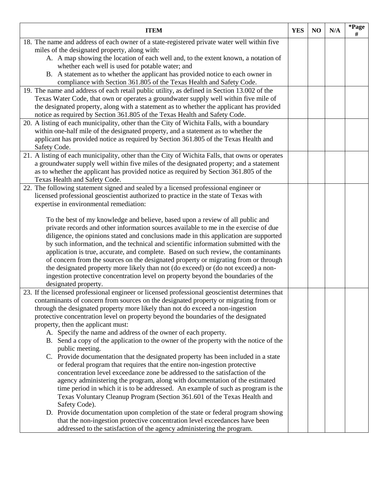| <b>ITEM</b>                                                                                                                                                                      | <b>YES</b> | N <sub>O</sub> | N/A | *Page<br>$\#$ |
|----------------------------------------------------------------------------------------------------------------------------------------------------------------------------------|------------|----------------|-----|---------------|
| 18. The name and address of each owner of a state-registered private water well within five                                                                                      |            |                |     |               |
| miles of the designated property, along with:                                                                                                                                    |            |                |     |               |
| A. A map showing the location of each well and, to the extent known, a notation of                                                                                               |            |                |     |               |
| whether each well is used for potable water; and                                                                                                                                 |            |                |     |               |
| B. A statement as to whether the applicant has provided notice to each owner in                                                                                                  |            |                |     |               |
| compliance with Section 361.805 of the Texas Health and Safety Code.                                                                                                             |            |                |     |               |
| 19. The name and address of each retail public utility, as defined in Section 13.002 of the                                                                                      |            |                |     |               |
| Texas Water Code, that own or operates a groundwater supply well within five mile of<br>the designated property, along with a statement as to whether the applicant has provided |            |                |     |               |
| notice as required by Section 361.805 of the Texas Health and Safety Code.                                                                                                       |            |                |     |               |
| 20. A listing of each municipality, other than the City of Wichita Falls, with a boundary                                                                                        |            |                |     |               |
| within one-half mile of the designated property, and a statement as to whether the                                                                                               |            |                |     |               |
| applicant has provided notice as required by Section 361.805 of the Texas Health and                                                                                             |            |                |     |               |
| Safety Code.                                                                                                                                                                     |            |                |     |               |
| 21. A listing of each municipality, other than the City of Wichita Falls, that owns or operates                                                                                  |            |                |     |               |
| a groundwater supply well within five miles of the designated property; and a statement                                                                                          |            |                |     |               |
| as to whether the applicant has provided notice as required by Section 361.805 of the                                                                                            |            |                |     |               |
| Texas Health and Safety Code.                                                                                                                                                    |            |                |     |               |
| 22. The following statement signed and sealed by a licensed professional engineer or                                                                                             |            |                |     |               |
| licensed professional geoscientist authorized to practice in the state of Texas with                                                                                             |            |                |     |               |
| expertise in environmental remediation:                                                                                                                                          |            |                |     |               |
|                                                                                                                                                                                  |            |                |     |               |
| To the best of my knowledge and believe, based upon a review of all public and                                                                                                   |            |                |     |               |
| private records and other information sources available to me in the exercise of due                                                                                             |            |                |     |               |
| diligence, the opinions stated and conclusions made in this application are supported                                                                                            |            |                |     |               |
| by such information, and the technical and scientific information submitted with the                                                                                             |            |                |     |               |
| application is true, accurate, and complete. Based on such review, the contaminants                                                                                              |            |                |     |               |
| of concern from the sources on the designated property or migrating from or through                                                                                              |            |                |     |               |
| the designated property more likely than not (do exceed) or (do not exceed) a non-                                                                                               |            |                |     |               |
| ingestion protective concentration level on property beyond the boundaries of the                                                                                                |            |                |     |               |
| designated property.<br>23. If the licensed professional engineer or licensed professional geoscientist determines that                                                          |            |                |     |               |
| contaminants of concern from sources on the designated property or migrating from or                                                                                             |            |                |     |               |
| through the designated property more likely than not do exceed a non-ingestion                                                                                                   |            |                |     |               |
| protective concentration level on property beyond the boundaries of the designated                                                                                               |            |                |     |               |
| property, then the applicant must:                                                                                                                                               |            |                |     |               |
| A. Specify the name and address of the owner of each property.                                                                                                                   |            |                |     |               |
| B. Send a copy of the application to the owner of the property with the notice of the                                                                                            |            |                |     |               |
| public meeting.                                                                                                                                                                  |            |                |     |               |
| C. Provide documentation that the designated property has been included in a state                                                                                               |            |                |     |               |
| or federal program that requires that the entire non-ingestion protective                                                                                                        |            |                |     |               |
| concentration level exceedance zone be addressed to the satisfaction of the                                                                                                      |            |                |     |               |
| agency administering the program, along with documentation of the estimated                                                                                                      |            |                |     |               |
| time period in which it is to be addressed. An example of such as program is the                                                                                                 |            |                |     |               |
| Texas Voluntary Cleanup Program (Section 361.601 of the Texas Health and                                                                                                         |            |                |     |               |
| Safety Code).                                                                                                                                                                    |            |                |     |               |
| D. Provide documentation upon completion of the state or federal program showing                                                                                                 |            |                |     |               |
| that the non-ingestion protective concentration level exceedances have been                                                                                                      |            |                |     |               |
| addressed to the satisfaction of the agency administering the program.                                                                                                           |            |                |     |               |